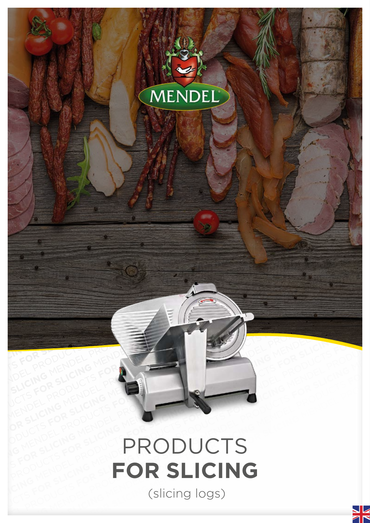

## MENDEL PRODUCTS **FOR SLICING** MENDEL PRODUCTS **FOR SLICING** MENDEL PRODUCTS **FOR SLICING** MENDEL PRODUCTS **FOR SLICING** MENDEL PRODUCTS **FOR SLICING** MENDEL PRODUCTS **FOR SLICING** MENDEL PRODUCTS **FOR SLICING** MENDEL PRODUCTS **FOR SLICING**  MENDEL PRODUCTS **FOR SLICING** MENDEL PRODUCTS **FOR SLICING** MENDEL PRODUCTS FOR SLICING PRODUCTS **FOR SLICING** MENDEL PRODUCTS **FOR SLICING** MENDEL PRODUCTS **FOR SLICING**  MENDEL PRODUCTS **FOR SLICING** MENDEL PRODUCTS **FOR SLICING** MENDEL PRODUCTS FOR SLICING PRODUCTS **FOR SLICING** MENDEL PRODUCTS **FOR SLICING** MENDEL PRODUCTS **FOR SLICING**  MENDEL PRODUCTS<br>
FOR SLICING<br>
(slicing logs) **FOR SLICING**<br> **FOR SLICING**<br>
(slicing logs) PRODUCTS<br>
FOR SLICING (slicing logs) MENDEL PRODUCTS<br> **FOR SLICING**<br>
(Slicing logs) PRODUCTS **FOR SLICING**

PRODUCTS **FOR SLICING** MENDEL PRODUCTS **FOR SLICING** MENDEL PRODUCTS **FOR SLICING** 

MENDEL PRODUCTS **FOR SLICING** MENDEL PRODUCTS **FOR SLICING** MENDEL PRODUCTS **FOR SLICING** MENDEL PRODUCTS **FOR SLICING** MENDEL PRODUCTS **FOR SLICING** MENDEL

PRODUCTS **FOR SLICING** MENDEL PRODUCTS **FOR SLICING** MENDEL PRODUCTS **FOR SLICING** 

(slicing logs)

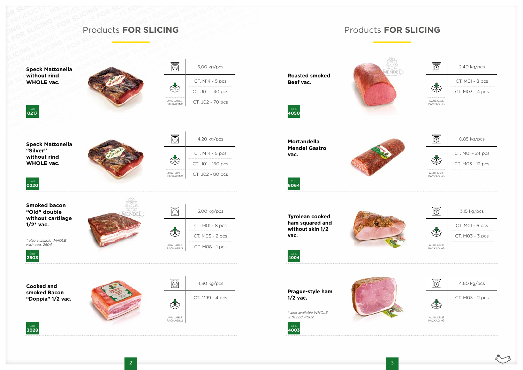



## PRODUCTS PRODUCTS FOR SLICING MENDEL PRODUCTS FOR SLICING MENDEL PRODUCTS **FOR SLICING** OR SLUCTS PRODUCTS FOR SLICING MENT FOR MENDEL PRODUCTS FOR SLICING MENDEL PRODUCTS FOR SLICING MENDEL PRODUCTS FOR SLICING AND SLICING PRODUCTS FOR SLICING MENT SLICING AND RESPONDED MENDEL PRODUCTS FOR SLICING AND RESPON FOR SLICING MENDEL PRODUCTS FOR SLICING MENDEL PRODUCTS FOR SLICING MENDEL PRODUCTS FOR SLICING MENDEL PRODUCTS FOR SLICING MENDEL PRODUCTS FOR SLICING MENDEL PRODUCTS FOR SLICING MENDEL PRODUCTS FOR SLICING MENDEL PRODUCT PRODUCTS FOR SLICING FOR SLICING PRODUCTS FOR SLICING PRODUCTS FOR SLICING PRODUCTS FOR SLICING PRODUCTS FOR SLICING PRODUCTS FOR SLICING PRODUCTS FOR SLICING PRODUCTS FOR SLICING PRODUCTS FOR SLICING PRODUCTS FOR SLICING Products **FOR SLICING**

**Roasted smoked** 



**Mortandella Mendel Gastro vac.**



Cod. **6064**

**Tyrolean cooked ham squared and without skin 1/2 vac.**





Cod. **4004**

**Prague-style ham 1/2 vac.**

*\* also available WHOLE with cod. 4002*

Cod. **4003**



## Products **FOR SLICING**



Cod. **0217**

**Speck Mattonella** 

**"Silver"**

**without rind WHOLE vac.**



Cod. **0220**



**Smoked bacon "Old" double without cartilage** 

**1/2\* vac.**

*\* also available WHOLE with cod. 2504*





**Cooked and smoked Bacon "Doppia" 1/2 vac.**



Cod. **3028**